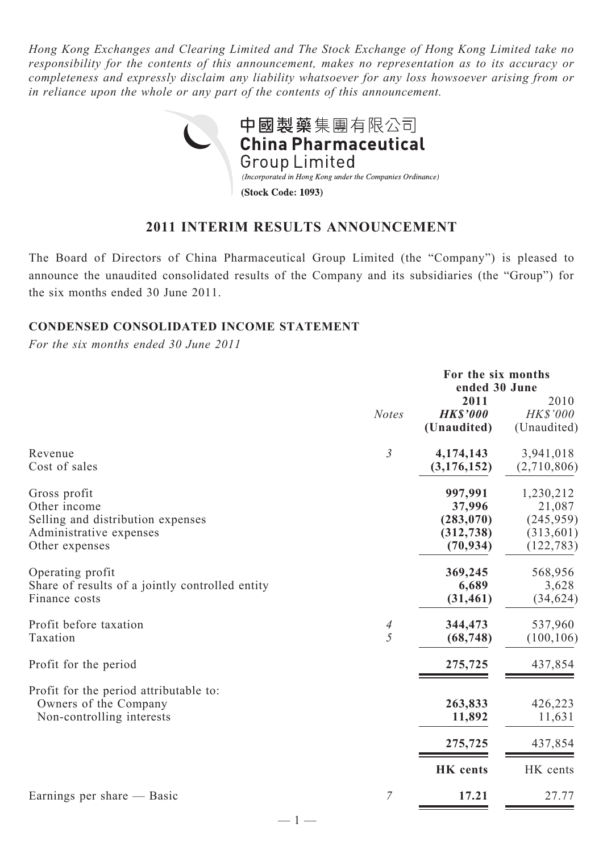*Hong Kong Exchanges and Clearing Limited and The Stock Exchange of Hong Kong Limited take no responsibility for the contents of this announcement, makes no representation as to its accuracy or completeness and expressly disclaim any liability whatsoever for any loss howsoever arising from or in reliance upon the whole or any part of the contents of this announcement.*



## **2011 INTERIM RESULTS ANNOUNCEMENT**

The Board of Directors of China Pharmaceutical Group Limited (the "Company") is pleased to announce the unaudited consolidated results of the Company and its subsidiaries (the "Group") for the six months ended 30 June 2011.

### **Condensed Consolidated Income Statement**

*For the six months ended 30 June 2011*

|                                                                                                                |                | For the six months<br>ended 30 June                        |                                                               |
|----------------------------------------------------------------------------------------------------------------|----------------|------------------------------------------------------------|---------------------------------------------------------------|
|                                                                                                                | <b>Notes</b>   | 2011<br><b>HK\$'000</b><br>(Unaudited)                     | 2010<br>HK\$'000<br>(Unaudited)                               |
| Revenue<br>Cost of sales                                                                                       | $\mathfrak{Z}$ | 4,174,143<br>(3, 176, 152)                                 | 3,941,018<br>(2,710,806)                                      |
| Gross profit<br>Other income<br>Selling and distribution expenses<br>Administrative expenses<br>Other expenses |                | 997,991<br>37,996<br>(283, 070)<br>(312, 738)<br>(70, 934) | 1,230,212<br>21,087<br>(245, 959)<br>(313, 601)<br>(122, 783) |
| Operating profit<br>Share of results of a jointly controlled entity<br>Finance costs                           |                | 369,245<br>6,689<br>(31, 461)                              | 568,956<br>3,628<br>(34, 624)                                 |
| Profit before taxation<br>Taxation                                                                             | 4<br>5         | 344,473<br>(68, 748)                                       | 537,960<br>(100, 106)                                         |
| Profit for the period                                                                                          |                | 275,725                                                    | 437,854                                                       |
| Profit for the period attributable to:<br>Owners of the Company<br>Non-controlling interests                   |                | 263,833<br>11,892                                          | 426,223<br>11,631                                             |
|                                                                                                                |                | 275,725                                                    | 437,854                                                       |
|                                                                                                                |                | <b>HK</b> cents                                            | HK cents                                                      |
| Earnings per share — Basic                                                                                     | $\overline{7}$ | 17.21                                                      | 27.77                                                         |

 $-1-$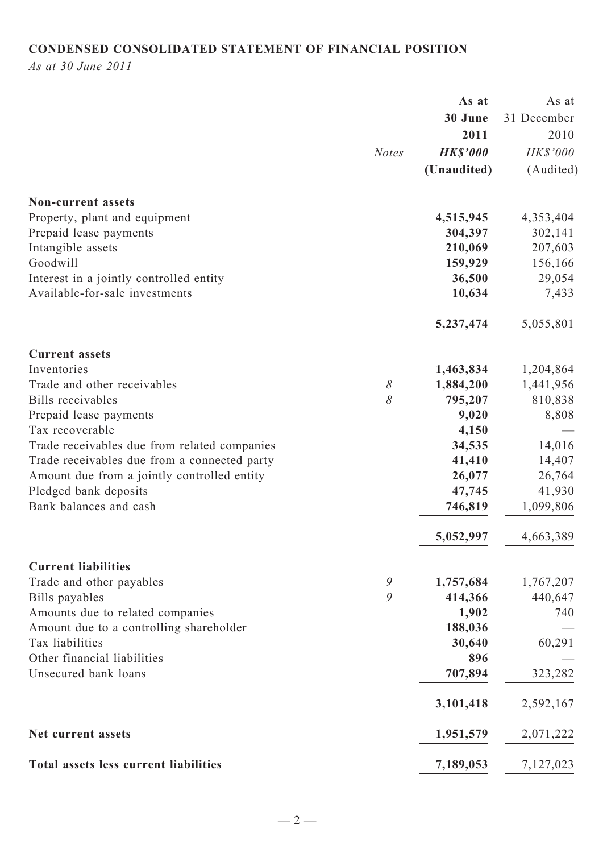# **CONDENSED CONSOLIDATED STATEMENT OF FINANCIAL POSITION**

*As at 30 June 2011*

|                                              |              | As at           | As at       |
|----------------------------------------------|--------------|-----------------|-------------|
|                                              |              | 30 June         | 31 December |
|                                              |              | 2011            | 2010        |
|                                              | <b>Notes</b> | <b>HK\$'000</b> | HK\$'000    |
|                                              |              | (Unaudited)     | (Audited)   |
| <b>Non-current assets</b>                    |              |                 |             |
| Property, plant and equipment                |              | 4,515,945       | 4,353,404   |
| Prepaid lease payments                       |              | 304,397         | 302,141     |
| Intangible assets                            |              | 210,069         | 207,603     |
| Goodwill                                     |              | 159,929         | 156,166     |
| Interest in a jointly controlled entity      |              | 36,500          | 29,054      |
| Available-for-sale investments               |              | 10,634          | 7,433       |
|                                              |              | 5,237,474       | 5,055,801   |
| <b>Current assets</b>                        |              |                 |             |
| Inventories                                  |              | 1,463,834       | 1,204,864   |
| Trade and other receivables                  | $\delta$     | 1,884,200       | 1,441,956   |
| Bills receivables                            | 8            | 795,207         | 810,838     |
| Prepaid lease payments                       |              | 9,020           | 8,808       |
| Tax recoverable                              |              | 4,150           |             |
| Trade receivables due from related companies |              | 34,535          | 14,016      |
| Trade receivables due from a connected party |              | 41,410          | 14,407      |
| Amount due from a jointly controlled entity  |              | 26,077          | 26,764      |
| Pledged bank deposits                        |              | 47,745          | 41,930      |
| Bank balances and cash                       |              | 746,819         | 1,099,806   |
|                                              |              | 5,052,997       | 4,663,389   |
| <b>Current liabilities</b>                   |              |                 |             |
| Trade and other payables                     | 9            | 1,757,684       | 1,767,207   |
| Bills payables                               | 9            | 414,366         | 440,647     |
| Amounts due to related companies             |              | 1,902           | 740         |
| Amount due to a controlling shareholder      |              | 188,036         |             |
| Tax liabilities                              |              | 30,640          | 60,291      |
| Other financial liabilities                  |              | 896             |             |
| Unsecured bank loans                         |              | 707,894         | 323,282     |
|                                              |              | 3,101,418       | 2,592,167   |
| Net current assets                           |              | 1,951,579       | 2,071,222   |
| Total assets less current liabilities        |              | 7,189,053       | 7,127,023   |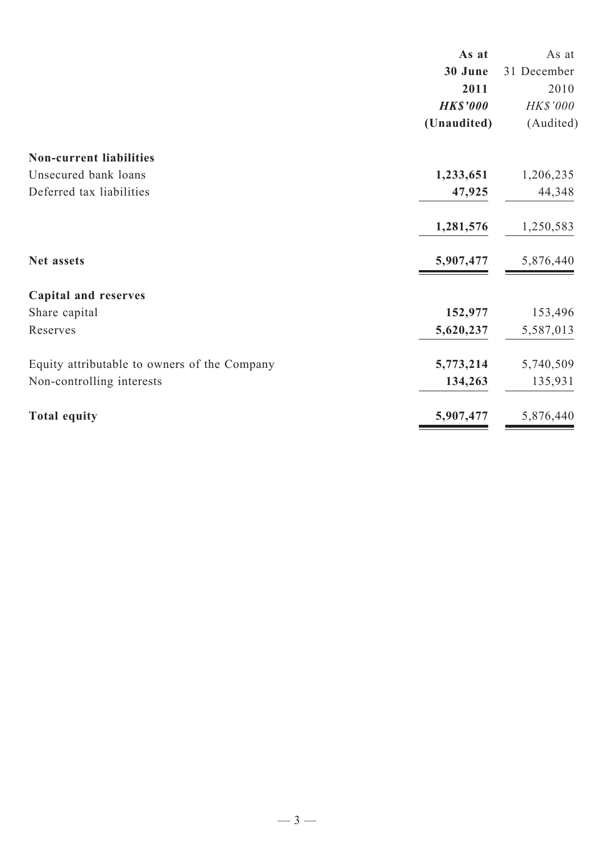|                                              | As at           | As at       |
|----------------------------------------------|-----------------|-------------|
|                                              | 30 June         | 31 December |
|                                              | 2011            | 2010        |
|                                              | <b>HK\$'000</b> | HK\$'000    |
|                                              | (Unaudited)     | (Audited)   |
| <b>Non-current liabilities</b>               |                 |             |
| Unsecured bank loans                         | 1,233,651       | 1,206,235   |
| Deferred tax liabilities                     | 47,925          | 44,348      |
|                                              | 1,281,576       | 1,250,583   |
| Net assets                                   | 5,907,477       | 5,876,440   |
| <b>Capital and reserves</b>                  |                 |             |
| Share capital                                | 152,977         | 153,496     |
| Reserves                                     | 5,620,237       | 5,587,013   |
| Equity attributable to owners of the Company | 5,773,214       | 5,740,509   |
| Non-controlling interests                    | 134,263         | 135,931     |
| <b>Total equity</b>                          | 5,907,477       | 5,876,440   |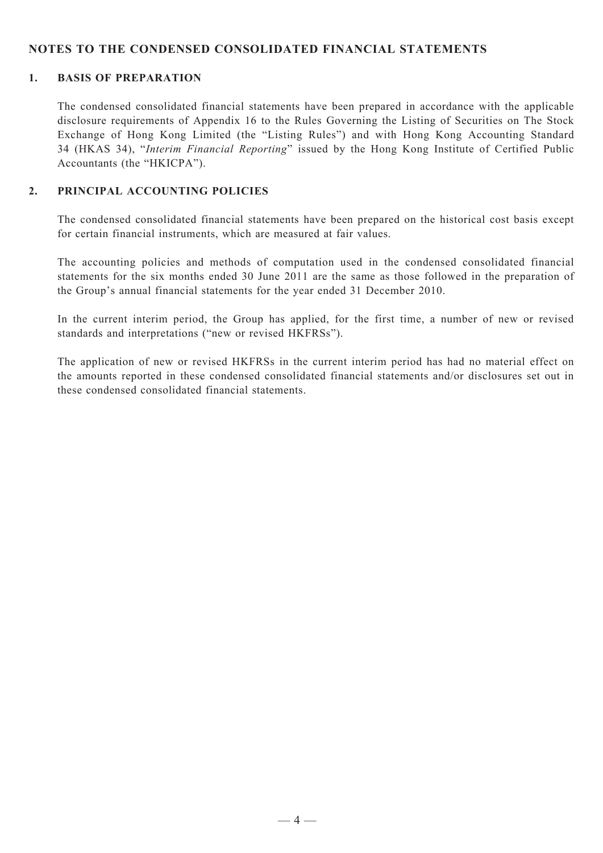#### **NOTES TO THE CONDENSED CONSOLIDATED FINANCIAL STATEMENTS**

#### **1. BASIS OF PREPARATION**

The condensed consolidated financial statements have been prepared in accordance with the applicable disclosure requirements of Appendix 16 to the Rules Governing the Listing of Securities on The Stock Exchange of Hong Kong Limited (the "Listing Rules") and with Hong Kong Accounting Standard 34 (HKAS 34), "*Interim Financial Reporting*" issued by the Hong Kong Institute of Certified Public Accountants (the "HKICPA").

#### **2. Principal Accounting Policies**

The condensed consolidated financial statements have been prepared on the historical cost basis except for certain financial instruments, which are measured at fair values.

The accounting policies and methods of computation used in the condensed consolidated financial statements for the six months ended 30 June 2011 are the same as those followed in the preparation of the Group's annual financial statements for the year ended 31 December 2010.

In the current interim period, the Group has applied, for the first time, a number of new or revised standards and interpretations ("new or revised HKFRSs").

The application of new or revised HKFRSs in the current interim period has had no material effect on the amounts reported in these condensed consolidated financial statements and/or disclosures set out in these condensed consolidated financial statements.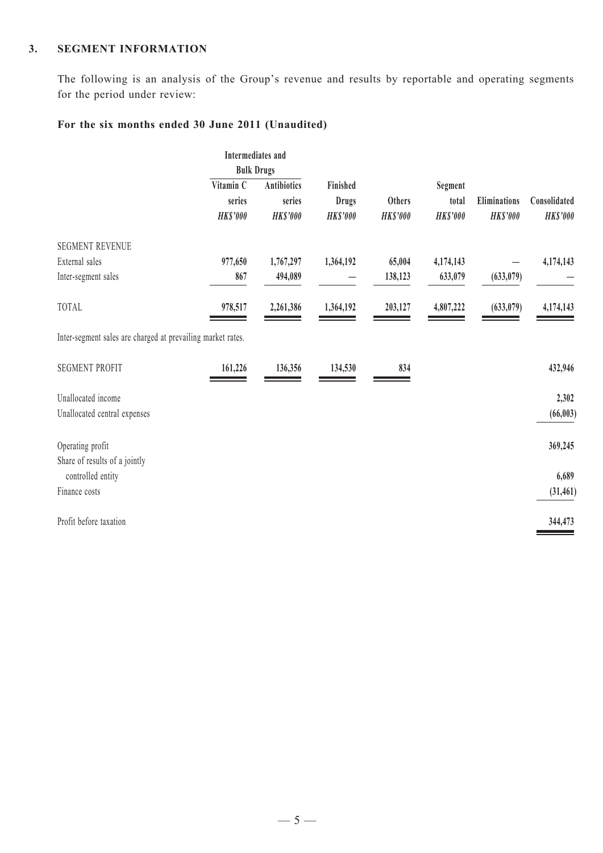#### **3. SEGMENT INFORMATION**

The following is an analysis of the Group's revenue and results by reportable and operating segments for the period under review:

## **For the six months ended 30 June 2011 (Unaudited)**

| <b>Intermediates</b> and                                    |                 |                 |                 |                 |                 |                 |
|-------------------------------------------------------------|-----------------|-----------------|-----------------|-----------------|-----------------|-----------------|
| <b>Bulk Drugs</b>                                           |                 |                 |                 |                 |                 |                 |
| Vitamin C                                                   | Antibiotics     | Finished        |                 | Segment         |                 |                 |
| series                                                      | series          | <b>Drugs</b>    | Others          | total           | Eliminations    | Consolidated    |
| <b>HK\$'000</b>                                             | <b>HK\$'000</b> | <b>HK\$'000</b> | <b>HK\$'000</b> | <b>HK\$'000</b> | <b>HK\$'000</b> | <b>HK\$'000</b> |
|                                                             |                 |                 |                 |                 |                 |                 |
| 977,650                                                     | 1,767,297       | 1,364,192       | 65,004          | 4,174,143       |                 | 4,174,143       |
| 867                                                         | 494,089         |                 | 138,123         | 633,079         | (633, 079)      |                 |
| 978,517                                                     | 2,261,386       | 1,364,192       | 203,127         | 4,807,222       | (633, 079)      | 4,174,143       |
| Inter-segment sales are charged at prevailing market rates. |                 |                 |                 |                 |                 |                 |
| 161,226                                                     | 136,356         | 134,530         | 834             |                 |                 | 432,946         |
|                                                             |                 |                 |                 |                 |                 | 2,302           |
|                                                             |                 |                 |                 |                 |                 | (66, 003)       |
|                                                             |                 |                 |                 |                 |                 | 369,245         |
|                                                             |                 |                 |                 |                 |                 |                 |
|                                                             |                 |                 |                 |                 |                 | 6,689           |
|                                                             |                 |                 |                 |                 |                 | (31, 461)       |
|                                                             |                 |                 |                 |                 |                 | 344,473         |
|                                                             |                 |                 |                 |                 |                 |                 |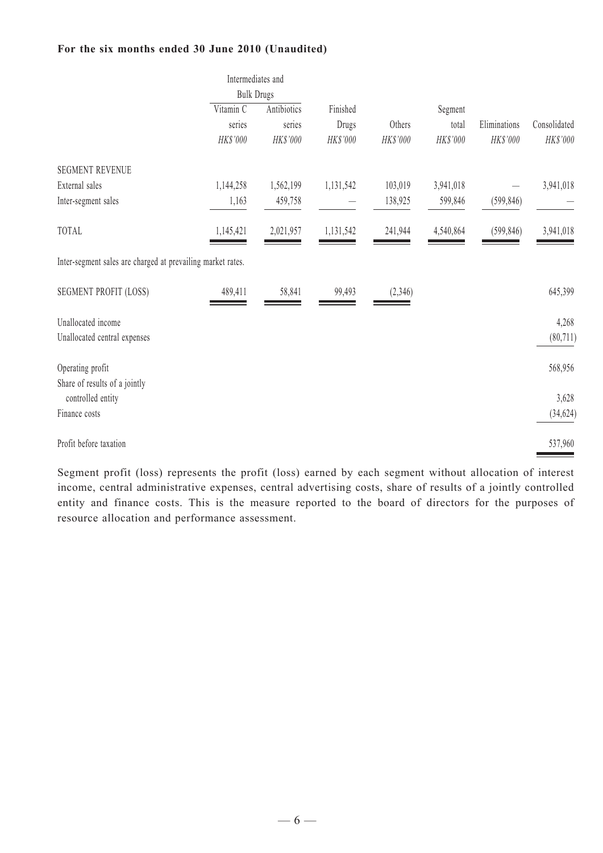#### **For the six months ended 30 June 2010 (Unaudited)**

|                                                             | Intermediates and<br><b>Bulk Drugs</b> |             |           |          |           |              |              |
|-------------------------------------------------------------|----------------------------------------|-------------|-----------|----------|-----------|--------------|--------------|
|                                                             | Vitamin C                              | Antibiotics | Finished  |          | Segment   |              |              |
|                                                             | series                                 | series      | Drugs     | Others   | total     | Eliminations | Consolidated |
|                                                             | HK\$'000                               | HK\$'000    | HK\$'000  | HK\$'000 | HK\$'000  | HK\$'000     | HK\$'000     |
| <b>SEGMENT REVENUE</b>                                      |                                        |             |           |          |           |              |              |
| External sales                                              | 1,144,258                              | 1,562,199   | 1,131,542 | 103,019  | 3,941,018 |              | 3,941,018    |
| Inter-segment sales                                         | 1,163                                  | 459,758     |           | 138,925  | 599,846   | (599, 846)   |              |
| TOTAL                                                       | 1,145,421                              | 2,021,957   | 1,131,542 | 241,944  | 4,540,864 | (599, 846)   | 3,941,018    |
| Inter-segment sales are charged at prevailing market rates. |                                        |             |           |          |           |              |              |
| SEGMENT PROFIT (LOSS)                                       | 489,411                                | 58,841      | 99,493    | (2,346)  |           |              | 645,399      |
| Unallocated income                                          |                                        |             |           |          |           |              | 4,268        |
| Unallocated central expenses                                |                                        |             |           |          |           |              | (80, 711)    |
| Operating profit<br>Share of results of a jointly           |                                        |             |           |          |           |              | 568,956      |
| controlled entity                                           |                                        |             |           |          |           |              | 3,628        |
| Finance costs                                               |                                        |             |           |          |           |              | (34, 624)    |
| Profit before taxation                                      |                                        |             |           |          |           |              | 537,960      |

Segment profit (loss) represents the profit (loss) earned by each segment without allocation of interest income, central administrative expenses, central advertising costs, share of results of a jointly controlled entity and finance costs. This is the measure reported to the board of directors for the purposes of resource allocation and performance assessment.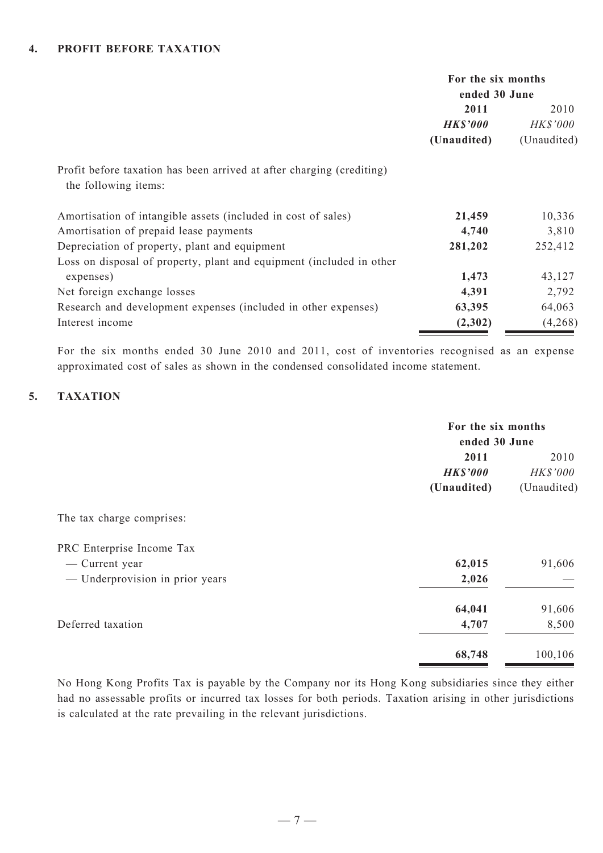#### **4. PROFIT BEFORE TAXation**

|                                                                                               | For the six months<br>ended 30 June    |                                 |
|-----------------------------------------------------------------------------------------------|----------------------------------------|---------------------------------|
|                                                                                               | 2011<br><b>HK\$'000</b><br>(Unaudited) | 2010<br>HK\$'000<br>(Unaudited) |
| Profit before taxation has been arrived at after charging (crediting)<br>the following items: |                                        |                                 |
| Amortisation of intangible assets (included in cost of sales)                                 | 21,459                                 | 10,336                          |
| Amortisation of prepaid lease payments                                                        | 4,740                                  | 3,810                           |
| Depreciation of property, plant and equipment                                                 | 281,202                                | 252,412                         |
| Loss on disposal of property, plant and equipment (included in other                          |                                        |                                 |
| expenses)                                                                                     | 1,473                                  | 43,127                          |
| Net foreign exchange losses                                                                   | 4,391                                  | 2,792                           |
| Research and development expenses (included in other expenses)                                | 63,395                                 | 64,063                          |
| Interest income                                                                               | (2,302)                                | (4,268)                         |

For the six months ended 30 June 2010 and 2011, cost of inventories recognised as an expense approximated cost of sales as shown in the condensed consolidated income statement.

#### 5. **TAXATION**

|                                 | For the six months |             |  |
|---------------------------------|--------------------|-------------|--|
|                                 | ended 30 June      |             |  |
|                                 | 2011               | 2010        |  |
|                                 | <b>HK\$'000</b>    | HK\$'000    |  |
|                                 | (Unaudited)        | (Unaudited) |  |
| The tax charge comprises:       |                    |             |  |
| PRC Enterprise Income Tax       |                    |             |  |
| — Current year                  | 62,015             | 91,606      |  |
| — Underprovision in prior years | 2,026              |             |  |
|                                 | 64,041             | 91,606      |  |
| Deferred taxation               | 4,707              | 8,500       |  |
|                                 | 68,748             | 100,106     |  |

No Hong Kong Profits Tax is payable by the Company nor its Hong Kong subsidiaries since they either had no assessable profits or incurred tax losses for both periods. Taxation arising in other jurisdictions is calculated at the rate prevailing in the relevant jurisdictions.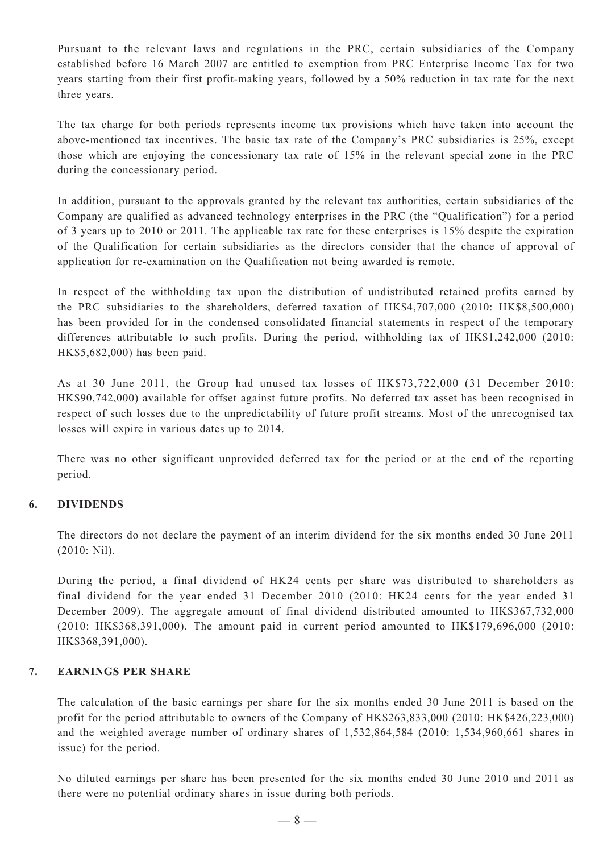Pursuant to the relevant laws and regulations in the PRC, certain subsidiaries of the Company established before 16 March 2007 are entitled to exemption from PRC Enterprise Income Tax for two years starting from their first profit-making years, followed by a 50% reduction in tax rate for the next three years.

The tax charge for both periods represents income tax provisions which have taken into account the above-mentioned tax incentives. The basic tax rate of the Company's PRC subsidiaries is 25%, except those which are enjoying the concessionary tax rate of 15% in the relevant special zone in the PRC during the concessionary period.

In addition, pursuant to the approvals granted by the relevant tax authorities, certain subsidiaries of the Company are qualified as advanced technology enterprises in the PRC (the "Qualification") for a period of 3 years up to 2010 or 2011. The applicable tax rate for these enterprises is 15% despite the expiration of the Qualification for certain subsidiaries as the directors consider that the chance of approval of application for re-examination on the Qualification not being awarded is remote.

In respect of the withholding tax upon the distribution of undistributed retained profits earned by the PRC subsidiaries to the shareholders, deferred taxation of HK\$4,707,000 (2010: HK\$8,500,000) has been provided for in the condensed consolidated financial statements in respect of the temporary differences attributable to such profits. During the period, withholding tax of HK\$1,242,000 (2010: HK\$5,682,000) has been paid.

As at 30 June 2011, the Group had unused tax losses of HK\$73,722,000 (31 December 2010: HK\$90,742,000) available for offset against future profits. No deferred tax asset has been recognised in respect of such losses due to the unpredictability of future profit streams. Most of the unrecognised tax losses will expire in various dates up to 2014.

There was no other significant unprovided deferred tax for the period or at the end of the reporting period.

#### **6. DIVIDENDS**

The directors do not declare the payment of an interim dividend for the six months ended 30 June 2011 (2010: Nil).

During the period, a final dividend of HK24 cents per share was distributed to shareholders as final dividend for the year ended 31 December 2010 (2010: HK24 cents for the year ended 31 December 2009). The aggregate amount of final dividend distributed amounted to HK\$367,732,000 (2010: HK\$368,391,000). The amount paid in current period amounted to HK\$179,696,000 (2010: HK\$368,391,000).

#### **7. EARNINGS PER SHARE**

The calculation of the basic earnings per share for the six months ended 30 June 2011 is based on the profit for the period attributable to owners of the Company of HK\$263,833,000 (2010: HK\$426,223,000) and the weighted average number of ordinary shares of 1,532,864,584 (2010: 1,534,960,661 shares in issue) for the period.

No diluted earnings per share has been presented for the six months ended 30 June 2010 and 2011 as there were no potential ordinary shares in issue during both periods.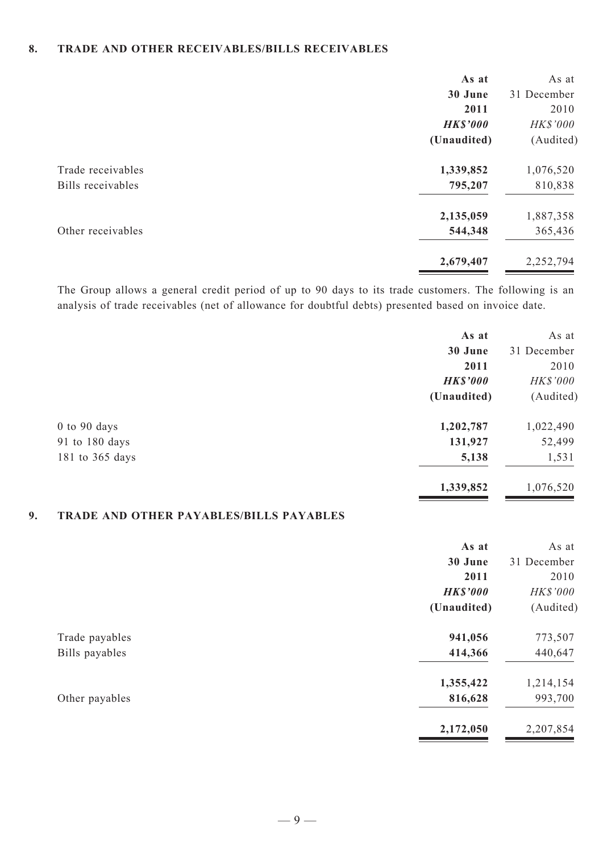#### **8. TRADE AND OTHER RECEIVABLES/BILLS RECEIVABLES**

|                   | As at           | As at       |
|-------------------|-----------------|-------------|
|                   | 30 June         | 31 December |
|                   | 2011            | 2010        |
|                   | <b>HK\$'000</b> | HK\$'000    |
|                   | (Unaudited)     | (Audited)   |
| Trade receivables | 1,339,852       | 1,076,520   |
| Bills receivables | 795,207         | 810,838     |
|                   | 2,135,059       | 1,887,358   |
| Other receivables | 544,348         | 365,436     |
|                   | 2,679,407       | 2,252,794   |
|                   |                 |             |

The Group allows a general credit period of up to 90 days to its trade customers. The following is an analysis of trade receivables (net of allowance for doubtful debts) presented based on invoice date.

| As at           | As at       |
|-----------------|-------------|
| 30 June         | 31 December |
| 2011            | 2010        |
| <b>HK\$'000</b> | HK\$'000    |
| (Unaudited)     | (Audited)   |
| 1,202,787       | 1,022,490   |
| 131,927         | 52,499      |
| 5,138           | 1,531       |
| 1,339,852       | 1,076,520   |
|                 |             |

## **9. TRADE AND OTHER PAYABLES/BILLS PAYABLES**

|                | As at           | As at       |
|----------------|-----------------|-------------|
|                | 30 June         | 31 December |
|                | 2011            | 2010        |
|                | <b>HK\$'000</b> | HK\$'000    |
|                | (Unaudited)     | (Audited)   |
| Trade payables | 941,056         | 773,507     |
| Bills payables | 414,366         | 440,647     |
|                | 1,355,422       | 1,214,154   |
| Other payables | 816,628         | 993,700     |
|                | 2,172,050       | 2,207,854   |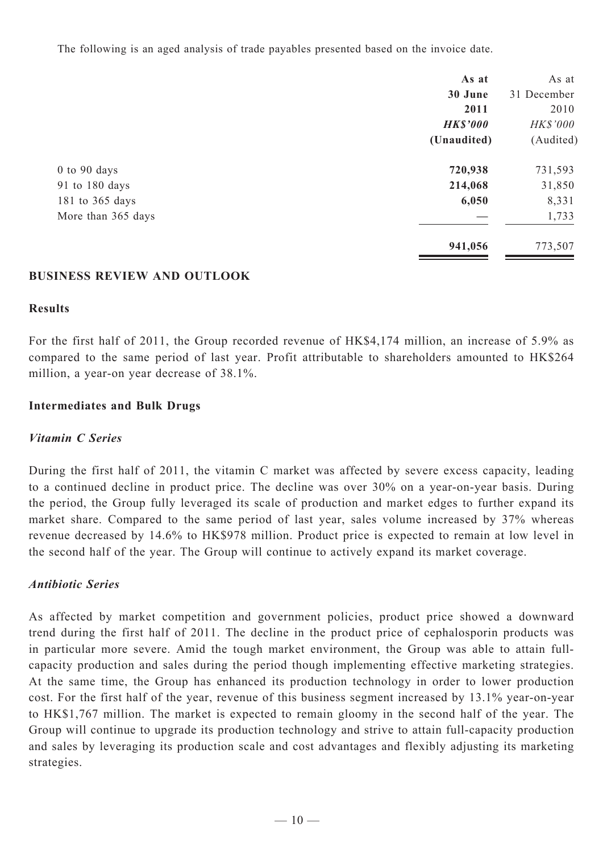The following is an aged analysis of trade payables presented based on the invoice date.

|                    | As at           | As at           |
|--------------------|-----------------|-----------------|
|                    | 30 June         | 31 December     |
|                    | 2011            | 2010            |
|                    | <b>HK\$'000</b> | <b>HK\$'000</b> |
|                    | (Unaudited)     | (Audited)       |
| $0$ to $90$ days   | 720,938         | 731,593         |
| 91 to 180 days     | 214,068         | 31,850          |
| 181 to 365 days    | 6,050           | 8,331           |
| More than 365 days |                 | 1,733           |
|                    | 941,056         | 773,507         |

#### **Business Review and Outlook**

#### **Results**

For the first half of 2011, the Group recorded revenue of HK\$4,174 million, an increase of 5.9% as compared to the same period of last year. Profit attributable to shareholders amounted to HK\$264 million, a year-on year decrease of 38.1%.

#### **Intermediates and Bulk Drugs**

### *Vitamin C Series*

During the first half of 2011, the vitamin C market was affected by severe excess capacity, leading to a continued decline in product price. The decline was over 30% on a year-on-year basis. During the period, the Group fully leveraged its scale of production and market edges to further expand its market share. Compared to the same period of last year, sales volume increased by 37% whereas revenue decreased by 14.6% to HK\$978 million. Product price is expected to remain at low level in the second half of the year. The Group will continue to actively expand its market coverage.

### *Antibiotic Series*

As affected by market competition and government policies, product price showed a downward trend during the first half of 2011. The decline in the product price of cephalosporin products was in particular more severe. Amid the tough market environment, the Group was able to attain fullcapacity production and sales during the period though implementing effective marketing strategies. At the same time, the Group has enhanced its production technology in order to lower production cost. For the first half of the year, revenue of this business segment increased by 13.1% year-on-year to HK\$1,767 million. The market is expected to remain gloomy in the second half of the year. The Group will continue to upgrade its production technology and strive to attain full-capacity production and sales by leveraging its production scale and cost advantages and flexibly adjusting its marketing strategies.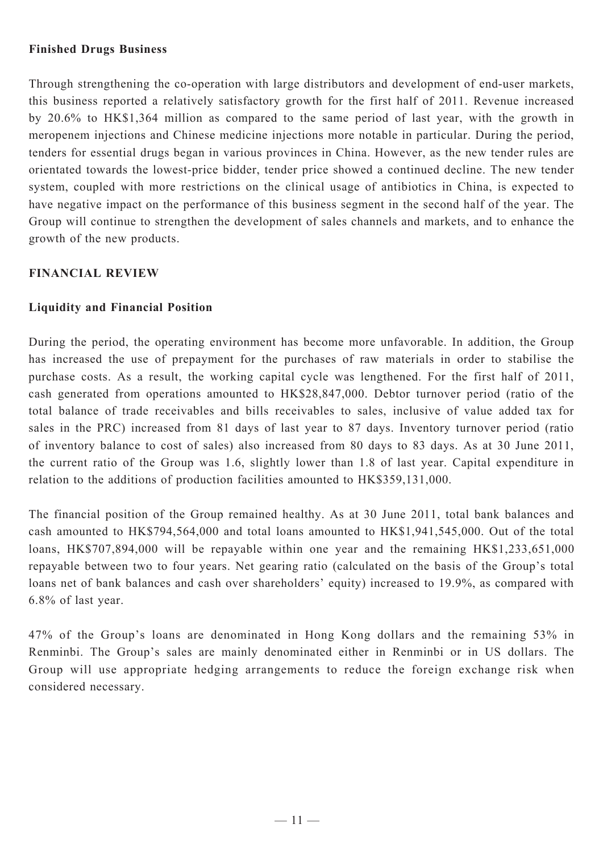## **Finished Drugs Business**

Through strengthening the co-operation with large distributors and development of end-user markets, this business reported a relatively satisfactory growth for the first half of 2011. Revenue increased by 20.6% to HK\$1,364 million as compared to the same period of last year, with the growth in meropenem injections and Chinese medicine injections more notable in particular. During the period, tenders for essential drugs began in various provinces in China. However, as the new tender rules are orientated towards the lowest-price bidder, tender price showed a continued decline. The new tender system, coupled with more restrictions on the clinical usage of antibiotics in China, is expected to have negative impact on the performance of this business segment in the second half of the year. The Group will continue to strengthen the development of sales channels and markets, and to enhance the growth of the new products.

## **Financial Review**

## **Liquidity and Financial Position**

During the period, the operating environment has become more unfavorable. In addition, the Group has increased the use of prepayment for the purchases of raw materials in order to stabilise the purchase costs. As a result, the working capital cycle was lengthened. For the first half of 2011, cash generated from operations amounted to HK\$28,847,000. Debtor turnover period (ratio of the total balance of trade receivables and bills receivables to sales, inclusive of value added tax for sales in the PRC) increased from 81 days of last year to 87 days. Inventory turnover period (ratio of inventory balance to cost of sales) also increased from 80 days to 83 days. As at 30 June 2011, the current ratio of the Group was 1.6, slightly lower than 1.8 of last year. Capital expenditure in relation to the additions of production facilities amounted to HK\$359,131,000.

The financial position of the Group remained healthy. As at 30 June 2011, total bank balances and cash amounted to HK\$794,564,000 and total loans amounted to HK\$1,941,545,000. Out of the total loans, HK\$707,894,000 will be repayable within one year and the remaining HK\$1,233,651,000 repayable between two to four years. Net gearing ratio (calculated on the basis of the Group's total loans net of bank balances and cash over shareholders' equity) increased to 19.9%, as compared with 6.8% of last year.

47% of the Group's loans are denominated in Hong Kong dollars and the remaining 53% in Renminbi. The Group's sales are mainly denominated either in Renminbi or in US dollars. The Group will use appropriate hedging arrangements to reduce the foreign exchange risk when considered necessary.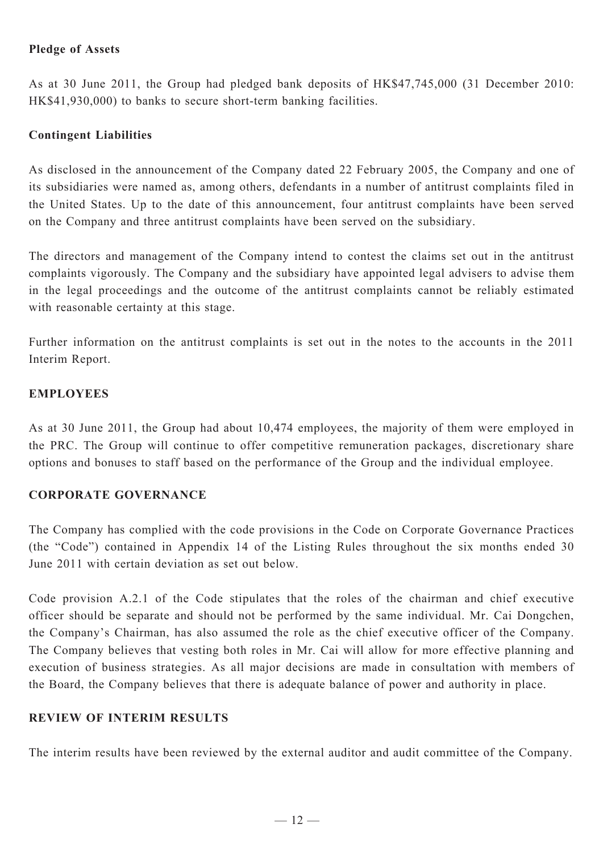## **Pledge of Assets**

As at 30 June 2011, the Group had pledged bank deposits of HK\$47,745,000 (31 December 2010: HK\$41,930,000) to banks to secure short-term banking facilities.

## **Contingent Liabilities**

As disclosed in the announcement of the Company dated 22 February 2005, the Company and one of its subsidiaries were named as, among others, defendants in a number of antitrust complaints filed in the United States. Up to the date of this announcement, four antitrust complaints have been served on the Company and three antitrust complaints have been served on the subsidiary.

The directors and management of the Company intend to contest the claims set out in the antitrust complaints vigorously. The Company and the subsidiary have appointed legal advisers to advise them in the legal proceedings and the outcome of the antitrust complaints cannot be reliably estimated with reasonable certainty at this stage.

Further information on the antitrust complaints is set out in the notes to the accounts in the 2011 Interim Report.

### **Employees**

As at 30 June 2011, the Group had about 10,474 employees, the majority of them were employed in the PRC. The Group will continue to offer competitive remuneration packages, discretionary share options and bonuses to staff based on the performance of the Group and the individual employee.

### **CORPORATE GOVERNANCE**

The Company has complied with the code provisions in the Code on Corporate Governance Practices (the "Code") contained in Appendix 14 of the Listing Rules throughout the six months ended 30 June 2011 with certain deviation as set out below.

Code provision A.2.1 of the Code stipulates that the roles of the chairman and chief executive officer should be separate and should not be performed by the same individual. Mr. Cai Dongchen, the Company's Chairman, has also assumed the role as the chief executive officer of the Company. The Company believes that vesting both roles in Mr. Cai will allow for more effective planning and execution of business strategies. As all major decisions are made in consultation with members of the Board, the Company believes that there is adequate balance of power and authority in place.

### **REVIEW OF INTERIM RESULTS**

The interim results have been reviewed by the external auditor and audit committee of the Company.